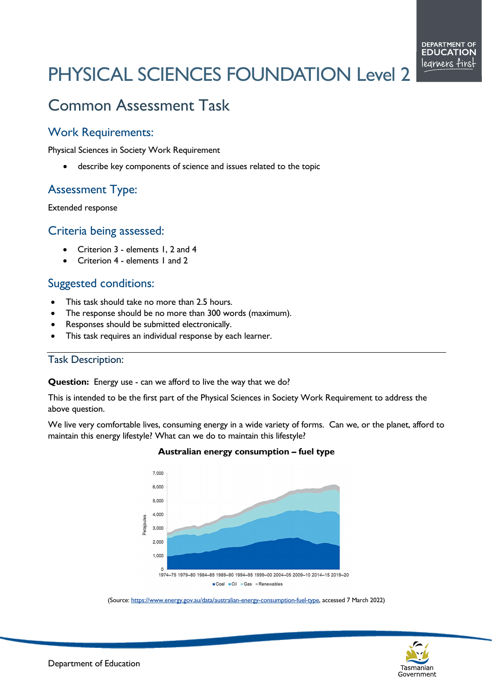# PHYSICAL SCIENCES FOUNDATION Level 2

# Common Assessment Task

## Work Requirements:

Physical Sciences in Society Work Requirement

describe key components of science and issues related to the topic

# Assessment Type:

Extended response

### Criteria being assessed:

- Criterion 3 elements 1, 2 and 4
- Criterion 4 elements 1 and 2

# Suggested conditions:

- This task should take no more than 2.5 hours.
- The response should be no more than 300 words (maximum).
- Responses should be submitted electronically.
- This task requires an individual response by each learner.

#### Task Description:

#### **Question:** Energy use - can we afford to live the way that we do?

This is intended to be the first part of the Physical Sciences in Society Work Requirement to address the above question.

We live very comfortable lives, consuming energy in a wide variety of forms. Can we, or the planet, afford to maintain this energy lifestyle? What can we do to maintain this lifestyle?



#### **Australian energy consumption – fuel type**

(Source[: https://www.energy.gov.au/data/australian-energy-consumption-fuel-type,](https://www.energy.gov.au/data/australian-energy-consumption-fuel-type) accessed 7 March 2022)